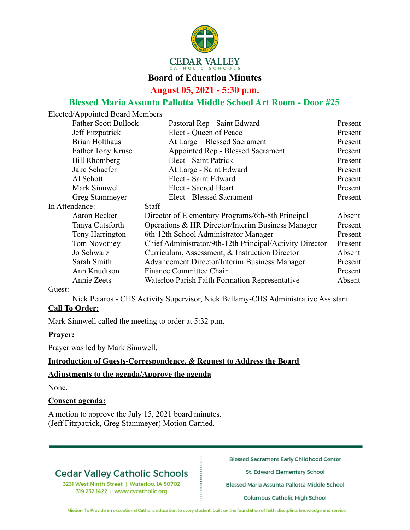

## **Board of Education Minutes**

**August 05, 2021 - 5:30 p.m.**

## **Blessed Maria Assunta Pallotta Middle School Art Room - Door #25**

| Elected/Appointed Board Members |                                                          |         |
|---------------------------------|----------------------------------------------------------|---------|
| <b>Father Scott Bullock</b>     | Pastoral Rep - Saint Edward                              | Present |
| Jeff Fitzpatrick                | Elect - Queen of Peace                                   | Present |
| <b>Brian Holthaus</b>           | At Large – Blessed Sacrament                             | Present |
| <b>Father Tony Kruse</b>        | Appointed Rep - Blessed Sacrament                        | Present |
| <b>Bill Rhomberg</b>            | Elect - Saint Patrick                                    | Present |
| Jake Schaefer                   | At Large - Saint Edward                                  | Present |
| Al Schott                       | Elect - Saint Edward                                     | Present |
| Mark Sinnwell                   | Elect - Sacred Heart                                     | Present |
| Greg Stammeyer                  | <b>Elect - Blessed Sacrament</b>                         | Present |
| In Attendance:                  | <b>Staff</b>                                             |         |
| Aaron Becker                    | Director of Elementary Programs/6th-8th Principal        | Absent  |
| Tanya Cutsforth                 | Operations & HR Director/Interim Business Manager        | Present |
| Tony Harrington                 | 6th-12th School Administrator Manager                    | Present |
| Tom Novotney                    | Chief Administrator/9th-12th Principal/Activity Director | Present |
| Jo Schwarz                      | Curriculum, Assessment, & Instruction Director           | Absent  |
| Sarah Smith                     | <b>Advancement Director/Interim Business Manager</b>     | Present |
| Ann Knudtson                    | Finance Committee Chair                                  | Present |
| Annie Zeets                     | Waterloo Parish Faith Formation Representative           | Absent  |
|                                 |                                                          |         |

Guest:

Nick Petaros - CHS Activity Supervisor, Nick Bellamy-CHS Administrative Assistant

## **Call To Order:**

Mark Sinnwell called the meeting to order at 5:32 p.m.

## **Prayer:**

Prayer was led by Mark Sinnwell.

## **Introduction of Guests-Correspondence, & Request to Address the Board**

### **Adjustments to the agenda/Approve the agenda**

None.

### **Consent agenda:**

A motion to approve the July 15, 2021 board minutes. (Jeff Fitzpatrick, Greg Stammeyer) Motion Carried.

# **Cedar Valley Catholic Schools**

3231 West Ninth Street | Waterloo, IA 50702 319.232.1422 | www.cvcatholic.org

**Blessed Sacrament Early Childhood Center** 

St. Edward Elementary School

Blessed Maria Assunta Pallotta Middle School

Columbus Catholic High School

Mission: To Provide an exceptional Catholic education to every student, built on the foundation of faith, discipline, knowledge and service.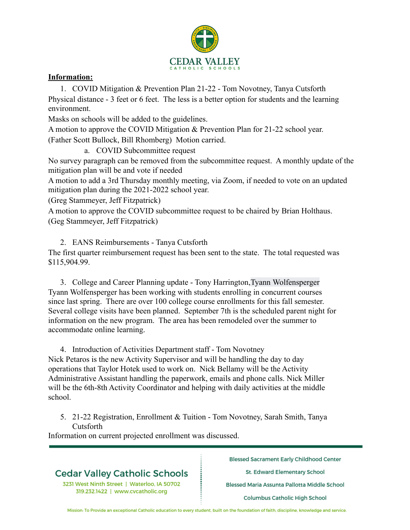

## **Information:**

1. COVID Mitigation & Prevention Plan 21-22 - Tom Novotney, Tanya Cutsforth Physical distance - 3 feet or 6 feet. The less is a better option for students and the learning environment.

Masks on schools will be added to the guidelines.

A motion to approve the COVID Mitigation & Prevention Plan for 21-22 school year. (Father Scott Bullock, Bill Rhomberg) Motion carried.

a. COVID Subcommittee request

No survey paragraph can be removed from the subcommittee request. A monthly update of the mitigation plan will be and vote if needed

A motion to add a 3rd Thursday monthly meeting, via Zoom, if needed to vote on an updated mitigation plan during the 2021-2022 school year.

(Greg Stammeyer, Jeff Fitzpatrick)

A motion to approve the COVID subcommittee request to be chaired by Brian Holthaus. (Geg Stammeyer, Jeff Fitzpatrick)

2. EANS Reimbursements - Tanya Cutsforth

The first quarter reimbursement request has been sent to the state. The total requested was \$115,904.99.

3. College and Career Planning update - Tony Harrington,Tyann Wolfensperger Tyann Wolfensperger has been working with students enrolling in concurrent courses since last spring. There are over 100 college course enrollments for this fall semester. Several college visits have been planned. September 7th is the scheduled parent night for information on the new program. The area has been remodeled over the summer to accommodate online learning.

4. Introduction of Activities Department staff - Tom Novotney Nick Petaros is the new Activity Supervisor and will be handling the day to day operations that Taylor Hotek used to work on. Nick Bellamy will be the Activity Administrative Assistant handling the paperwork, emails and phone calls. Nick Miller will be the 6th-8th Activity Coordinator and helping with daily activities at the middle school.

5. 21-22 Registration, Enrollment & Tuition - Tom Novotney, Sarah Smith, Tanya Cutsforth

Information on current projected enrollment was discussed.

# **Cedar Valley Catholic Schools**

3231 West Ninth Street | Waterloo, IA 50702 319.232.1422 | www.cvcatholic.org

**Blessed Sacrament Early Childhood Center** 

St. Edward Elementary School

Blessed Maria Assunta Pallotta Middle School

Columbus Catholic High School

Mission: To Provide an exceptional Catholic education to every student, built on the foundation of faith, discipline, knowledge and service.